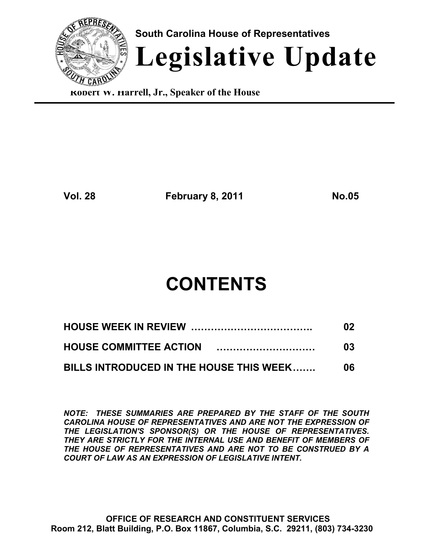

**Robert W. Harrell, Jr., Speaker of the House**

**Vol. 28 February 8, 2011 No.05**

# **CONTENTS**

|                                         | 02  |
|-----------------------------------------|-----|
|                                         | 03  |
| BILLS INTRODUCED IN THE HOUSE THIS WEEK | 06. |

*NOTE: THESE SUMMARIES ARE PREPARED BY THE STAFF OF THE SOUTH CAROLINA HOUSE OF REPRESENTATIVES AND ARE NOT THE EXPRESSION OF THE LEGISLATION'S SPONSOR(S) OR THE HOUSE OF REPRESENTATIVES. THEY ARE STRICTLY FOR THE INTERNAL USE AND BENEFIT OF MEMBERS OF THE HOUSE OF REPRESENTATIVES AND ARE NOT TO BE CONSTRUED BY A COURT OF LAW AS AN EXPRESSION OF LEGISLATIVE INTENT.*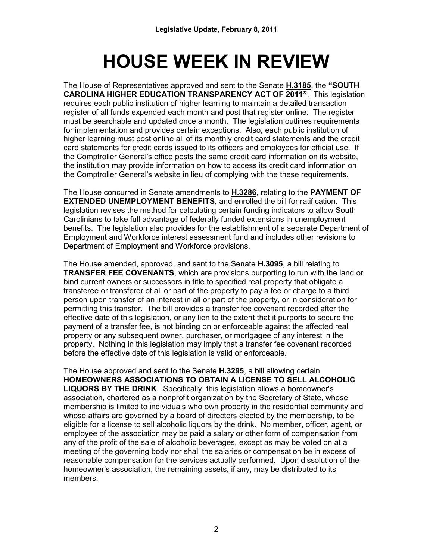# **HOUSE WEEK IN REVIEW**

The House of Representatives approved and sent to the Senate **H.3185**, the **"SOUTH CAROLINA HIGHER EDUCATION TRANSPARENCY ACT OF 2011"**. This legislation requires each public institution of higher learning to maintain a detailed transaction register of all funds expended each month and post that register online. The register must be searchable and updated once a month. The legislation outlines requirements for implementation and provides certain exceptions. Also, each public institution of higher learning must post online all of its monthly credit card statements and the credit card statements for credit cards issued to its officers and employees for official use. If the Comptroller General's office posts the same credit card information on its website, the institution may provide information on how to access its credit card information on the Comptroller General's website in lieu of complying with the these requirements.

The House concurred in Senate amendments to **H.3286**, relating to the **PAYMENT OF EXTENDED UNEMPLOYMENT BENEFITS**, and enrolled the bill for ratification. This legislation revises the method for calculating certain funding indicators to allow South Carolinians to take full advantage of federally funded extensions in unemployment benefits. The legislation also provides for the establishment of a separate Department of Employment and Workforce interest assessment fund and includes other revisions to Department of Employment and Workforce provisions.

The House amended, approved, and sent to the Senate **H.3095**, a bill relating to **TRANSFER FEE COVENANTS**, which are provisions purporting to run with the land or bind current owners or successors in title to specified real property that obligate a transferee or transferor of all or part of the property to pay a fee or charge to a third person upon transfer of an interest in all or part of the property, or in consideration for permitting this transfer. The bill provides a transfer fee covenant recorded after the effective date of this legislation, or any lien to the extent that it purports to secure the payment of a transfer fee, is not binding on or enforceable against the affected real property or any subsequent owner, purchaser, or mortgagee of any interest in the property. Nothing in this legislation may imply that a transfer fee covenant recorded before the effective date of this legislation is valid or enforceable.

The House approved and sent to the Senate **H.3295**, a bill allowing certain **HOMEOWNERS ASSOCIATIONS TO OBTAIN A LICENSE TO SELL ALCOHOLIC LIQUORS BY THE DRINK**. Specifically, this legislation allows a homeowner's association, chartered as a nonprofit organization by the Secretary of State, whose membership is limited to individuals who own property in the residential community and whose affairs are governed by a board of directors elected by the membership, to be eligible for a license to sell alcoholic liquors by the drink. No member, officer, agent, or employee of the association may be paid a salary or other form of compensation from any of the profit of the sale of alcoholic beverages, except as may be voted on at a meeting of the governing body nor shall the salaries or compensation be in excess of reasonable compensation for the services actually performed. Upon dissolution of the homeowner's association, the remaining assets, if any, may be distributed to its members.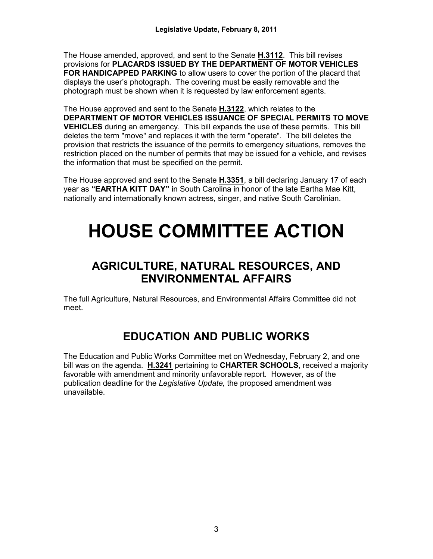The House amended, approved, and sent to the Senate **H.3112**. This bill revises provisions for **PLACARDS ISSUED BY THE DEPARTMENT OF MOTOR VEHICLES FOR HANDICAPPED PARKING** to allow users to cover the portion of the placard that displays the user's photograph. The covering must be easily removable and the photograph must be shown when it is requested by law enforcement agents.

The House approved and sent to the Senate **H.3122**, which relates to the **DEPARTMENT OF MOTOR VEHICLES ISSUANCE OF SPECIAL PERMITS TO MOVE VEHICLES** during an emergency. This bill expands the use of these permits. This bill deletes the term "move" and replaces it with the term "operate". The bill deletes the provision that restricts the issuance of the permits to emergency situations, removes the restriction placed on the number of permits that may be issued for a vehicle, and revises the information that must be specified on the permit.

The House approved and sent to the Senate **H.3351**, a bill declaring January 17 of each year as **"EARTHA KITT DAY"** in South Carolina in honor of the late Eartha Mae Kitt, nationally and internationally known actress, singer, and native South Carolinian.

# **HOUSE COMMITTEE ACTION**

# **AGRICULTURE, NATURAL RESOURCES, AND ENVIRONMENTAL AFFAIRS**

The full Agriculture, Natural Resources, and Environmental Affairs Committee did not meet.

# **EDUCATION AND PUBLIC WORKS**

The Education and Public Works Committee met on Wednesday, February 2, and one bill was on the agenda. **H.3241** pertaining to **CHARTER SCHOOLS**, received a majority favorable with amendment and minority unfavorable report. However, as of the publication deadline for the *Legislative Update,* the proposed amendment was unavailable.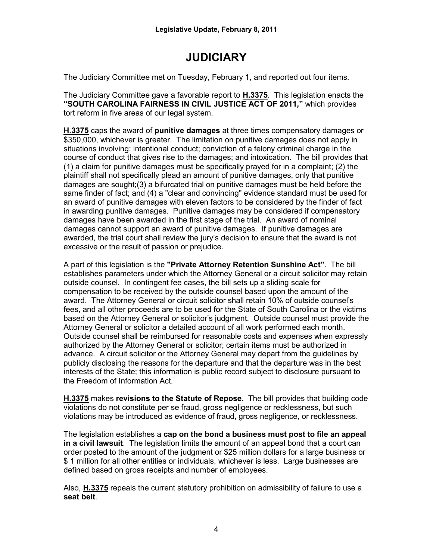# **JUDICIARY**

The Judiciary Committee met on Tuesday, February 1, and reported out four items.

The Judiciary Committee gave a favorable report to **H.3375**. This legislation enacts the **"SOUTH CAROLINA FAIRNESS IN CIVIL JUSTICE ACT OF 2011,"** which provides tort reform in five areas of our legal system.

**H.3375** caps the award of **punitive damages** at three times compensatory damages or \$350,000, whichever is greater. The limitation on punitive damages does not apply in situations involving: intentional conduct; conviction of a felony criminal charge in the course of conduct that gives rise to the damages; and intoxication. The bill provides that (1) a claim for punitive damages must be specifically prayed for in a complaint; (2) the plaintiff shall not specifically plead an amount of punitive damages, only that punitive damages are sought;(3) a bifurcated trial on punitive damages must be held before the same finder of fact; and (4) a "clear and convincing" evidence standard must be used for an award of punitive damages with eleven factors to be considered by the finder of fact in awarding punitive damages. Punitive damages may be considered if compensatory damages have been awarded in the first stage of the trial. An award of nominal damages cannot support an award of punitive damages. If punitive damages are awarded, the trial court shall review the jury's decision to ensure that the award is not excessive or the result of passion or prejudice.

A part of this legislation is the **"Private Attorney Retention Sunshine Act"**. The bill establishes parameters under which the Attorney General or a circuit solicitor may retain outside counsel. In contingent fee cases, the bill sets up a sliding scale for compensation to be received by the outside counsel based upon the amount of the award. The Attorney General or circuit solicitor shall retain 10% of outside counsel's fees, and all other proceeds are to be used for the State of South Carolina or the victims based on the Attorney General or solicitor's judgment. Outside counsel must provide the Attorney General or solicitor a detailed account of all work performed each month. Outside counsel shall be reimbursed for reasonable costs and expenses when expressly authorized by the Attorney General or solicitor; certain items must be authorized in advance. A circuit solicitor or the Attorney General may depart from the guidelines by publicly disclosing the reasons for the departure and that the departure was in the best interests of the State; this information is public record subject to disclosure pursuant to the Freedom of Information Act.

**H.3375** makes **revisions to the Statute of Repose**. The bill provides that building code violations do not constitute per se fraud, gross negligence or recklessness, but such violations may be introduced as evidence of fraud, gross negligence, or recklessness.

The legislation establishes a **cap on the bond a business must post to file an appeal in a civil lawsuit**. The legislation limits the amount of an appeal bond that a court can order posted to the amount of the judgment or \$25 million dollars for a large business or \$ 1 million for all other entities or individuals, whichever is less. Large businesses are defined based on gross receipts and number of employees.

Also, **H.3375** repeals the current statutory prohibition on admissibility of failure to use a **seat belt**.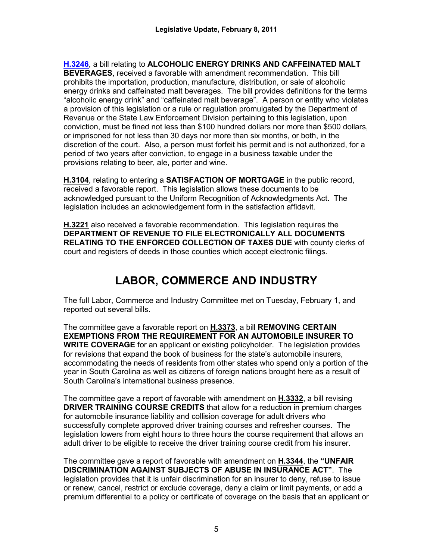**[H.3246](http://www.scstatehouse.gov/cgi-bin/web_bh10.exe?bill1=3246&session=119)**, a bill relating to **ALCOHOLIC ENERGY DRINKS AND CAFFEINATED MALT BEVERAGES**, received a favorable with amendment recommendation. This bill prohibits the importation, production, manufacture, distribution, or sale of alcoholic energy drinks and caffeinated malt beverages. The bill provides definitions for the terms "alcoholic energy drink" and "caffeinated malt beverage".A person or entity who violates a provision of this legislation or a rule or regulation promulgated by the Department of Revenue or the State Law Enforcement Division pertaining to this legislation, upon conviction, must be fined not less than \$100 hundred dollars nor more than \$500 dollars, or imprisoned for not less than 30 days nor more than six months, or both, in the discretion of the court. Also, a person must forfeit his permit and is not authorized, for a period of two years after conviction, to engage in a business taxable under the provisions relating to beer, ale, porter and wine.

**H.3104**, relating to entering a **SATISFACTION OF MORTGAGE** in the public record, received a favorable report. This legislation allows these documents to be acknowledged pursuant to the Uniform Recognition of Acknowledgments Act. The legislation includes an acknowledgement form in the satisfaction affidavit.

**H.3221** also received a favorable recommendation. This legislation requires the **DEPARTMENT OF REVENUE TO FILE ELECTRONICALLY ALL DOCUMENTS RELATING TO THE ENFORCED COLLECTION OF TAXES DUE** with county clerks of court and registers of deeds in those counties which accept electronic filings.

# **LABOR, COMMERCE AND INDUSTRY**

The full Labor, Commerce and Industry Committee met on Tuesday, February 1, and reported out several bills.

The committee gave a favorable report on **H.3373**, a bill **REMOVING CERTAIN EXEMPTIONS FROM THE REQUIREMENT FOR AN AUTOMOBILE INSURER TO WRITE COVERAGE** for an applicant or existing policyholder. The legislation provides for revisions that expand the book of business for the state's automobile insurers, accommodating the needs of residents from other states who spend only a portion of the year in South Carolina as well as citizens of foreign nations brought here as a result of South Carolina's international business presence.

The committee gave a report of favorable with amendment on **H.3332**, a bill revising **DRIVER TRAINING COURSE CREDITS** that allow for a reduction in premium charges for automobile insurance liability and collision coverage for adult drivers who successfully complete approved driver training courses and refresher courses. The legislation lowers from eight hours to three hours the course requirement that allows an adult driver to be eligible to receive the driver training course credit from his insurer.

The committee gave a report of favorable with amendment on **H.3344**, the **"UNFAIR DISCRIMINATION AGAINST SUBJECTS OF ABUSE IN INSURANCE ACT"**. The legislation provides that it is unfair discrimination for an insurer to deny, refuse to issue or renew, cancel, restrict or exclude coverage, deny a claim or limit payments, or add a premium differential to a policy or certificate of coverage on the basis that an applicant or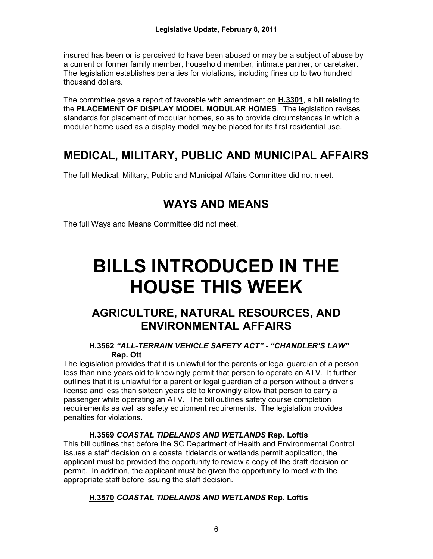insured has been or is perceived to have been abused or may be a subject of abuse by a current or former family member, household member, intimate partner, or caretaker. The legislation establishes penalties for violations, including fines up to two hundred thousand dollars.

The committee gave a report of favorable with amendment on **H.3301**, a bill relating to the **PLACEMENT OF DISPLAY MODEL MODULAR HOMES**. The legislation revises standards for placement of modular homes, so as to provide circumstances in which a modular home used as a display model may be placed for its first residential use.

# **MEDICAL, MILITARY, PUBLIC AND MUNICIPAL AFFAIRS**

The full Medical, Military, Public and Municipal Affairs Committee did not meet.

# **WAYS AND MEANS**

The full Ways and Means Committee did not meet.

# **BILLS INTRODUCED IN THE HOUSE THIS WEEK**

# **AGRICULTURE, NATURAL RESOURCES, AND ENVIRONMENTAL AFFAIRS**

## **H.3562** *"ALL-TERRAIN VEHICLE SAFETY ACT" - "CHANDLER'S LAW"* **Rep. Ott**

The legislation provides that it is unlawful for the parents or legal guardian of a person less than nine years old to knowingly permit that person to operate an ATV. It further outlines that it is unlawful for a parent or legal guardian of a person without a driver's license and less than sixteen years old to knowingly allow that person to carry a passenger while operating an ATV. The bill outlines safety course completion requirements as well as safety equipment requirements. The legislation provides penalties for violations.

# **H.3569** *COASTAL TIDELANDS AND WETLANDS* **Rep. Loftis**

This bill outlines that before the SC Department of Health and Environmental Control issues a staff decision on a coastal tidelands or wetlands permit application, the applicant must be provided the opportunity to review a copy of the draft decision or permit. In addition, the applicant must be given the opportunity to meet with the appropriate staff before issuing the staff decision.

# **H.3570** *COASTAL TIDELANDS AND WETLANDS* **Rep. Loftis**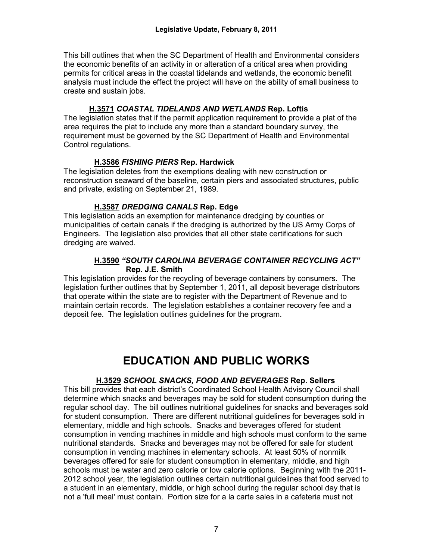This bill outlines that when the SC Department of Health and Environmental considers the economic benefits of an activity in or alteration of a critical area when providing permits for critical areas in the coastal tidelands and wetlands, the economic benefit analysis must include the effect the project will have on the ability of small business to create and sustain jobs.

## **H.3571** *COASTAL TIDELANDS AND WETLANDS* **Rep. Loftis**

The legislation states that if the permit application requirement to provide a plat of the area requires the plat to include any more than a standard boundary survey, the requirement must be governed by the SC Department of Health and Environmental Control regulations.

#### **H.3586** *FISHING PIERS* **Rep. Hardwick**

The legislation deletes from the exemptions dealing with new construction or reconstruction seaward of the baseline, certain piers and associated structures, public and private, existing on September 21, 1989.

#### **H.3587** *DREDGING CANALS* **Rep. Edge**

This legislation adds an exemption for maintenance dredging by counties or municipalities of certain canals if the dredging is authorized by the US Army Corps of Engineers. The legislation also provides that all other state certifications for such dredging are waived.

## **H.3590** *"SOUTH CAROLINA BEVERAGE CONTAINER RECYCLING ACT"*   **Rep. J.E. Smith**

This legislation provides for the recycling of beverage containers by consumers. The legislation further outlines that by September 1, 2011, all deposit beverage distributors that operate within the state are to register with the Department of Revenue and to maintain certain records. The legislation establishes a container recovery fee and a deposit fee. The legislation outlines guidelines for the program.

# **EDUCATION AND PUBLIC WORKS**

#### **H.3529** *SCHOOL SNACKS, FOOD AND BEVERAGES* **Rep. Sellers**

This bill provides that each district's Coordinated School Health Advisory Council shall determine which snacks and beverages may be sold for student consumption during the regular school day. The bill outlines nutritional guidelines for snacks and beverages sold for student consumption. There are different nutritional guidelines for beverages sold in elementary, middle and high schools. Snacks and beverages offered for student consumption in vending machines in middle and high schools must conform to the same nutritional standards. Snacks and beverages may not be offered for sale for student consumption in vending machines in elementary schools. At least 50% of nonmilk beverages offered for sale for student consumption in elementary, middle, and high schools must be water and zero calorie or low calorie options. Beginning with the 2011- 2012 school year, the legislation outlines certain nutritional guidelines that food served to a student in an elementary, middle, or high school during the regular school day that is not a 'full meal' must contain. Portion size for a la carte sales in a cafeteria must not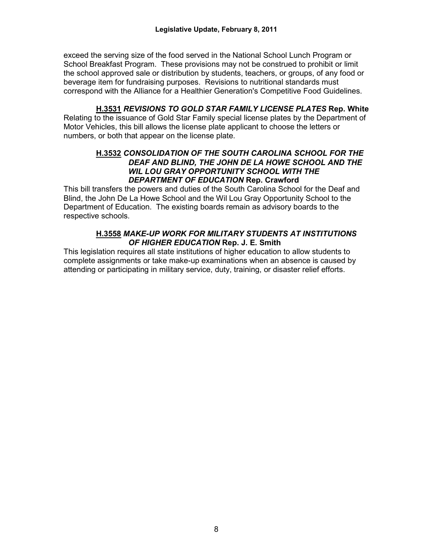exceed the serving size of the food served in the National School Lunch Program or School Breakfast Program. These provisions may not be construed to prohibit or limit the school approved sale or distribution by students, teachers, or groups, of any food or beverage item for fundraising purposes. Revisions to nutritional standards must correspond with the Alliance for a Healthier Generation's Competitive Food Guidelines.

#### **H.3531** *REVISIONS TO GOLD STAR FAMILY LICENSE PLATES* **Rep. White**

Relating to the issuance of Gold Star Family special license plates by the Department of Motor Vehicles, this bill allows the license plate applicant to choose the letters or numbers, or both that appear on the license plate.

#### **H.3532** *CONSOLIDATION OF THE SOUTH CAROLINA SCHOOL FOR THE DEAF AND BLIND, THE JOHN DE LA HOWE SCHOOL AND THE WIL LOU GRAY OPPORTUNITY SCHOOL WITH THE DEPARTMENT OF EDUCATION* **Rep. Crawford**

This bill transfers the powers and duties of the South Carolina School for the Deaf and Blind, the John De La Howe School and the Wil Lou Gray Opportunity School to the Department of Education. The existing boards remain as advisory boards to the respective schools.

#### **H.3558** *MAKE-UP WORK FOR MILITARY STUDENTS AT INSTITUTIONS OF HIGHER EDUCATION* **Rep. J. E. Smith**

This legislation requires all state institutions of higher education to allow students to complete assignments or take make-up examinations when an absence is caused by attending or participating in military service, duty, training, or disaster relief efforts.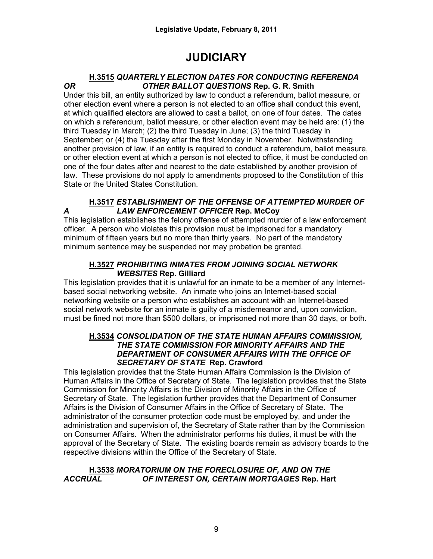# **JUDICIARY**

### **H.3515** *QUARTERLY ELECTION DATES FOR CONDUCTING REFERENDA OR OTHER BALLOT QUESTIONS* **Rep. G. R. Smith**

Under this bill, an entity authorized by law to conduct a referendum, ballot measure, or other election event where a person is not elected to an office shall conduct this event, at which qualified electors are allowed to cast a ballot, on one of four dates. The dates on which a referendum, ballot measure, or other election event may be held are: (1) the third Tuesday in March; (2) the third Tuesday in June; (3) the third Tuesday in September; or (4) the Tuesday after the first Monday in November. Notwithstanding another provision of law, if an entity is required to conduct a referendum, ballot measure, or other election event at which a person is not elected to office, it must be conducted on one of the four dates after and nearest to the date established by another provision of law. These provisions do not apply to amendments proposed to the Constitution of this State or the United States Constitution.

# **H.3517** *ESTABLISHMENT OF THE OFFENSE OF ATTEMPTED MURDER OF A LAW ENFORCEMENT OFFICER* **Rep. McCoy**

This legislation establishes the felony offense of attempted murder of a law enforcement officer. A person who violates this provision must be imprisoned for a mandatory minimum of fifteen years but no more than thirty years. No part of the mandatory minimum sentence may be suspended nor may probation be granted.

# **H.3527** *PROHIBITING INMATES FROM JOINING SOCIAL NETWORK WEBSITES* **Rep. Gilliard**

This legislation provides that it is unlawful for an inmate to be a member of any Internetbased social networking website. An inmate who joins an Internet-based social networking website or a person who establishes an account with an Internet-based social network website for an inmate is guilty of a misdemeanor and, upon conviction, must be fined not more than \$500 dollars, or imprisoned not more than 30 days, or both.

#### **H.3534** *CONSOLIDATION OF THE STATE HUMAN AFFAIRS COMMISSION, THE STATE COMMISSION FOR MINORITY AFFAIRS AND THE DEPARTMENT OF CONSUMER AFFAIRS WITH THE OFFICE OF SECRETARY OF STATE* **Rep. Crawford**

This legislation provides that the State Human Affairs Commission is the Division of Human Affairs in the Office of Secretary of State. The legislation provides that the State Commission for Minority Affairs is the Division of Minority Affairs in the Office of Secretary of State. The legislation further provides that the Department of Consumer Affairs is the Division of Consumer Affairs in the Office of Secretary of State. The administrator of the consumer protection code must be employed by, and under the administration and supervision of, the Secretary of State rather than by the Commission on Consumer Affairs. When the administrator performs his duties, it must be with the approval of the Secretary of State. The existing boards remain as advisory boards to the respective divisions within the Office of the Secretary of State.

## **H.3538** *MORATORIUM ON THE FORECLOSURE OF, AND ON THE ACCRUAL OF INTEREST ON, CERTAIN MORTGAGES* **Rep. Hart**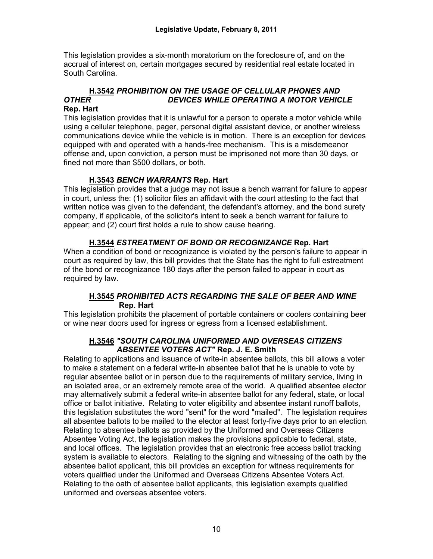This legislation provides a six-month moratorium on the foreclosure of, and on the accrual of interest on, certain mortgages secured by residential real estate located in South Carolina.

# **H.3542** *PROHIBITION ON THE USAGE OF CELLULAR PHONES AND OTHER DEVICES WHILE OPERATING A MOTOR VEHICLE*

#### **Rep. Hart**

This legislation provides that it is unlawful for a person to operate a motor vehicle while using a cellular telephone, pager, personal digital assistant device, or another wireless communications device while the vehicle is in motion. There is an exception for devices equipped with and operated with a hands-free mechanism. This is a misdemeanor offense and, upon conviction, a person must be imprisoned not more than 30 days, or fined not more than \$500 dollars, or both.

## **H.3543** *BENCH WARRANTS* **Rep. Hart**

This legislation provides that a judge may not issue a bench warrant for failure to appear in court, unless the: (1) solicitor files an affidavit with the court attesting to the fact that written notice was given to the defendant, the defendant's attorney, and the bond surety company, if applicable, of the solicitor's intent to seek a bench warrant for failure to appear; and (2) court first holds a rule to show cause hearing.

#### **H.3544** *ESTREATMENT OF BOND OR RECOGNIZANCE* **Rep. Hart**

When a condition of bond or recognizance is violated by the person's failure to appear in court as required by law, this bill provides that the State has the right to full estreatment of the bond or recognizance 180 days after the person failed to appear in court as required by law.

#### **H.3545** *PROHIBITED ACTS REGARDING THE SALE OF BEER AND WINE*  **Rep. Hart**

This legislation prohibits the placement of portable containers or coolers containing beer or wine near doors used for ingress or egress from a licensed establishment.

#### **H.3546** *"SOUTH CAROLINA UNIFORMED AND OVERSEAS CITIZENS ABSENTEE VOTERS ACT"* **Rep. J. E. Smith**

Relating to applications and issuance of write-in absentee ballots, this bill allows a voter to make a statement on a federal write-in absentee ballot that he is unable to vote by regular absentee ballot or in person due to the requirements of military service, living in an isolated area, or an extremely remote area of the world. A qualified absentee elector may alternatively submit a federal write-in absentee ballot for any federal, state, or local office or ballot initiative. Relating to voter eligibility and absentee instant runoff ballots, this legislation substitutes the word "sent" for the word "mailed". The legislation requires all absentee ballots to be mailed to the elector at least forty-five days prior to an election. Relating to absentee ballots as provided by the Uniformed and Overseas Citizens Absentee Voting Act, the legislation makes the provisions applicable to federal, state, and local offices. The legislation provides that an electronic free access ballot tracking system is available to electors. Relating to the signing and witnessing of the oath by the absentee ballot applicant, this bill provides an exception for witness requirements for voters qualified under the Uniformed and Overseas Citizens Absentee Voters Act. Relating to the oath of absentee ballot applicants, this legislation exempts qualified uniformed and overseas absentee voters.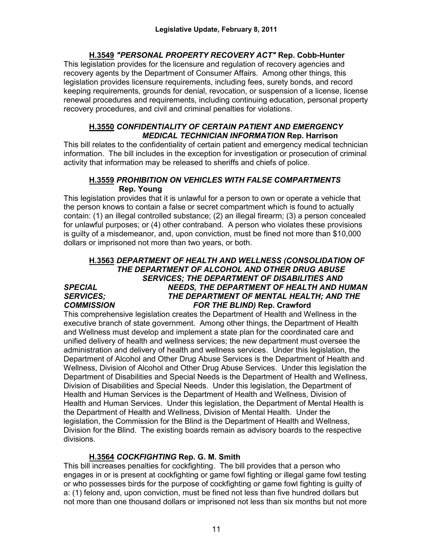# **H.3549** *"PERSONAL PROPERTY RECOVERY ACT"* **Rep. Cobb-Hunter**

This legislation provides for the licensure and regulation of recovery agencies and recovery agents by the Department of Consumer Affairs. Among other things, this legislation provides licensure requirements, including fees, surety bonds, and record keeping requirements, grounds for denial, revocation, or suspension of a license, license renewal procedures and requirements, including continuing education, personal property recovery procedures, and civil and criminal penalties for violations.

### **H.3550** *CONFIDENTIALITY OF CERTAIN PATIENT AND EMERGENCY MEDICAL TECHNICIAN INFORMATION* **Rep. Harrison**

This bill relates to the confidentiality of certain patient and emergency medical technician information. The bill includes in the exception for investigation or prosecution of criminal activity that information may be released to sheriffs and chiefs of police.

### **H.3559** *PROHIBITION ON VEHICLES WITH FALSE COMPARTMENTS* **Rep. Young**

This legislation provides that it is unlawful for a person to own or operate a vehicle that the person knows to contain a false or secret compartment which is found to actually contain: (1) an illegal controlled substance; (2) an illegal firearm; (3) a person concealed for unlawful purposes; or (4) other contraband. A person who violates these provisions is guilty of a misdemeanor, and, upon conviction, must be fined not more than \$10,000 dollars or imprisoned not more than two years, or both.

### **H.3563** *DEPARTMENT OF HEALTH AND WELLNESS (CONSOLIDATION OF THE DEPARTMENT OF ALCOHOL AND OTHER DRUG ABUSE SERVICES; THE DEPARTMENT OF DISABILITIES AND SPECIAL NEEDS, THE DEPARTMENT OF HEALTH AND HUMAN*  THE DEPARTMENT OF MENTAL HEALTH; AND THE *COMMISSION FOR THE BLIND)* **Rep. Crawford**

This comprehensive legislation creates the Department of Health and Wellness in the executive branch of state government. Among other things, the Department of Health and Wellness must develop and implement a state plan for the coordinated care and unified delivery of health and wellness services; the new department must oversee the administration and delivery of health and wellness services.Under this legislation, the Department of Alcohol and Other Drug Abuse Services is the Department of Health and Wellness, Division of Alcohol and Other Drug Abuse Services. Under this legislation the Department of Disabilities and Special Needs is the Department of Health and Wellness, Division of Disabilities and Special Needs. Under this legislation, the Department of Health and Human Services is the Department of Health and Wellness, Division of Health and Human Services. Under this legislation, the Department of Mental Health is the Department of Health and Wellness, Division of Mental Health. Under the legislation, the Commission for the Blind is the Department of Health and Wellness, Division for the Blind. The existing boards remain as advisory boards to the respective divisions.

# **H.3564** *COCKFIGHTING* **Rep. G. M. Smith**

This bill increases penalties for cockfighting. The bill provides that a person who engages in or is present at cockfighting or game fowl fighting or illegal game fowl testing or who possesses birds for the purpose of cockfighting or game fowl fighting is guilty of a: (1) felony and, upon conviction, must be fined not less than five hundred dollars but not more than one thousand dollars or imprisoned not less than six months but not more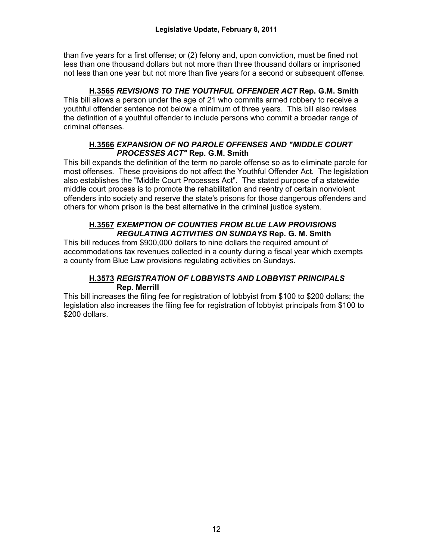than five years for a first offense; or (2) felony and, upon conviction, must be fined not less than one thousand dollars but not more than three thousand dollars or imprisoned not less than one year but not more than five years for a second or subsequent offense.

## **H.3565** *REVISIONS TO THE YOUTHFUL OFFENDER ACT* **Rep. G.M. Smith**

This bill allows a person under the age of 21 who commits armed robbery to receive a youthful offender sentence not below a minimum of three years. This bill also revises the definition of a youthful offender to include persons who commit a broader range of criminal offenses.

#### **H.3566** *EXPANSION OF NO PAROLE OFFENSES AND "MIDDLE COURT PROCESSES ACT"* **Rep. G.M. Smith**

This bill expands the definition of the term no parole offense so as to eliminate parole for most offenses. These provisions do not affect the Youthful Offender Act. The legislation also establishes the "Middle Court Processes Act". The stated purpose of a statewide middle court process is to promote the rehabilitation and reentry of certain nonviolent offenders into society and reserve the state's prisons for those dangerous offenders and others for whom prison is the best alternative in the criminal justice system.

#### **H.3567** *EXEMPTION OF COUNTIES FROM BLUE LAW PROVISIONS REGULATING ACTIVITIES ON SUNDAYS* **Rep. G. M. Smith**

This bill reduces from \$900,000 dollars to nine dollars the required amount of accommodations tax revenues collected in a county during a fiscal year which exempts a county from Blue Law provisions regulating activities on Sundays.

#### **H.3573** *REGISTRATION OF LOBBYISTS AND LOBBYIST PRINCIPALS*  **Rep. Merrill**

This bill increases the filing fee for registration of lobbyist from \$100 to \$200 dollars; the legislation also increases the filing fee for registration of lobbyist principals from \$100 to \$200 dollars.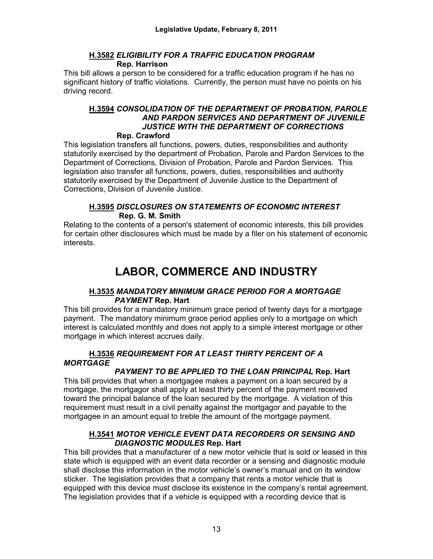### **H.3582** *ELIGIBILITY FOR A TRAFFIC EDUCATION PROGRAM*  **Rep. Harrison**

This bill allows a person to be considered for a traffic education program if he has no significant history of traffic violations. Currently, the person must have no points on his driving record.

#### **H.3594** *CONSOLIDATION OF THE DEPARTMENT OF PROBATION, PAROLE AND PARDON SERVICES AND DEPARTMENT OF JUVENILE JUSTICE WITH THE DEPARTMENT OF CORRECTIONS* **Rep. Crawford**

This legislation transfers all functions, powers, duties, responsibilities and authority statutorily exercised by the department of Probation, Parole and Pardon Services to the Department of Corrections, Division of Probation, Parole and Pardon Services. This legislation also transfer all functions, powers, duties, responsibilities and authority statutorily exercised by the Department of Juvenile Justice to the Department of Corrections, Division of Juvenile Justice.

## **H.3595** *DISCLOSURES ON STATEMENTS OF ECONOMIC INTEREST* **Rep. G. M. Smith**

Relating to the contents of a person's statement of economic interests, this bill provides for certain other disclosures which must be made by a filer on his statement of economic interests.

# **LABOR, COMMERCE AND INDUSTRY**

# **H.3535** *MANDATORY MINIMUM GRACE PERIOD FOR A MORTGAGE PAYMENT* **Rep. Hart**

This bill provides for a mandatory minimum grace period of twenty days for a mortgage payment. The mandatory minimum grace period applies only to a mortgage on which interest is calculated monthly and does not apply to a simple interest mortgage or other mortgage in which interest accrues daily.

# **H.3536** *REQUIREMENT FOR AT LEAST THIRTY PERCENT OF A MORTGAGE*

# *PAYMENT TO BE APPLIED TO THE LOAN PRINCIPAL* **Rep. Hart**

This bill provides that when a mortgagee makes a payment on a loan secured by a mortgage, the mortgagor shall apply at least thirty percent of the payment received toward the principal balance of the loan secured by the mortgage. A violation of this requirement must result in a civil penalty against the mortgagor and payable to the mortgagee in an amount equal to treble the amount of the mortgage payment.

## **H.3541** *MOTOR VEHICLE EVENT DATA RECORDERS OR SENSING AND DIAGNOSTIC MODULES* **Rep. Hart**

This bill provides that a manufacturer of a new motor vehicle that is sold or leased in this state which is equipped with an event data recorder or a sensing and diagnostic module shall disclose this information in the motor vehicle's owner's manual and on its window sticker. The legislation provides that a company that rents a motor vehicle that is equipped with this device must disclose its existence in the company's rental agreement. The legislation provides that if a vehicle is equipped with a recording device that is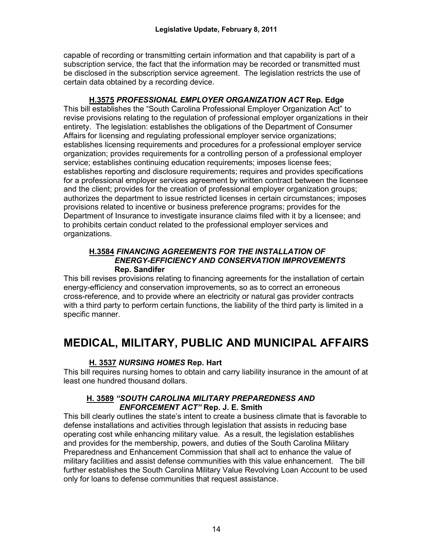capable of recording or transmitting certain information and that capability is part of a subscription service, the fact that the information may be recorded or transmitted must be disclosed in the subscription service agreement. The legislation restricts the use of certain data obtained by a recording device.

**H.3575** *PROFESSIONAL EMPLOYER ORGANIZATION ACT* **Rep. Edge** This bill establishes the "South Carolina Professional Employer Organization Act" to revise provisions relating to the regulation of professional employer organizations in their entirety. The legislation: establishes the obligations of the Department of Consumer Affairs for licensing and regulating professional employer service organizations; establishes licensing requirements and procedures for a professional employer service organization; provides requirements for a controlling person of a professional employer service; establishes continuing education requirements; imposes license fees; establishes reporting and disclosure requirements; requires and provides specifications for a professional employer services agreement by written contract between the licensee and the client; provides for the creation of professional employer organization groups; authorizes the department to issue restricted licenses in certain circumstances; imposes provisions related to incentive or business preference programs; provides for the Department of Insurance to investigate insurance claims filed with it by a licensee; and to prohibits certain conduct related to the professional employer services and organizations.

#### **H.3584** *FINANCING AGREEMENTS FOR THE INSTALLATION OF ENERGY-EFFICIENCY AND CONSERVATION IMPROVEMENTS* **Rep. Sandifer**

This bill revises provisions relating to financing agreements for the installation of certain energy-efficiency and conservation improvements, so as to correct an erroneous cross-reference, and to provide where an electricity or natural gas provider contracts with a third party to perform certain functions, the liability of the third party is limited in a specific manner.

# **MEDICAL, MILITARY, PUBLIC AND MUNICIPAL AFFAIRS**

# **H. 3537** *NURSING HOMES* **Rep. Hart**

This bill requires nursing homes to obtain and carry liability insurance in the amount of at least one hundred thousand dollars.

#### **H. 3589** *"SOUTH CAROLINA MILITARY PREPAREDNESS AND ENFORCEMENT ACT"* **Rep. J. E. Smith**

This bill clearly outlines the state's intent to create a business climate that is favorable to defense installations and activities through legislation that assists in reducing base operating cost while enhancing military value. As a result, the legislation establishes and provides for the membership, powers, and duties of the South Carolina Military Preparedness and Enhancement Commission that shall act to enhance the value of military facilities and assist defense communities with this value enhancement. The bill further establishes the South Carolina Military Value Revolving Loan Account to be used only for loans to defense communities that request assistance.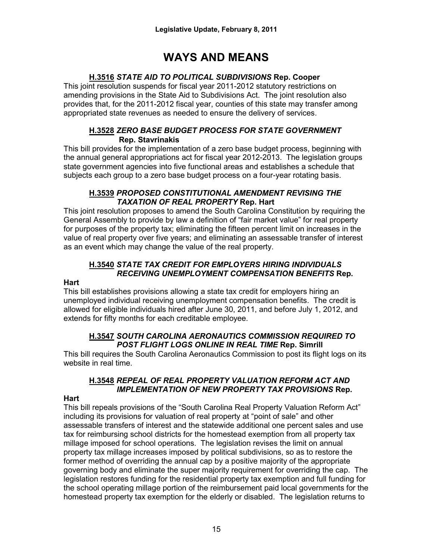# **WAYS AND MEANS**

# **H.3516** *STATE AID TO POLITICAL SUBDIVISIONS* **Rep. Cooper**

This joint resolution suspends for fiscal year 2011-2012 statutory restrictions on amending provisions in the State Aid to Subdivisions Act. The joint resolution also provides that, for the 2011-2012 fiscal year, counties of this state may transfer among appropriated state revenues as needed to ensure the delivery of services.

## **H.3528** *ZERO BASE BUDGET PROCESS FOR STATE GOVERNMENT*  **Rep. Stavrinakis**

This bill provides for the implementation of a zero base budget process, beginning with the annual general appropriations act for fiscal year 2012-2013. The legislation groups state government agencies into five functional areas and establishes a schedule that subjects each group to a zero base budget process on a four-year rotating basis.

#### **H.3539** *PROPOSED CONSTITUTIONAL AMENDMENT REVISING THE TAXATION OF REAL PROPERTY* **Rep. Hart**

This joint resolution proposes to amend the South Carolina Constitution by requiring the General Assembly to provide by law a definition of "fair market value" for real property for purposes of the property tax; eliminating the fifteen percent limit on increases in the value of real property over five years; and eliminating an assessable transfer of interest as an event which may change the value of the real property.

# **H.3540** *STATE TAX CREDIT FOR EMPLOYERS HIRING INDIVIDUALS RECEIVING UNEMPLOYMENT COMPENSATION BENEFITS* **Rep.**

#### **Hart**

This bill establishes provisions allowing a state tax credit for employers hiring an unemployed individual receiving unemployment compensation benefits. The credit is allowed for eligible individuals hired after June 30, 2011, and before July 1, 2012, and extends for fifty months for each creditable employee.

## **H.3547** *SOUTH CAROLINA AERONAUTICS COMMISSION REQUIRED TO POST FLIGHT LOGS ONLINE IN REAL TIME* **Rep. Simrill**

This bill requires the South Carolina Aeronautics Commission to post its flight logs on its website in real time.

# **H.3548** *REPEAL OF REAL PROPERTY VALUATION REFORM ACT AND IMPLEMENTATION OF NEW PROPERTY TAX PROVISIONS* **Rep.**

# **Hart**

This bill repeals provisions of the "South Carolina Real Property Valuation Reform Act" including its provisions for valuation of real property at "point of sale" and other assessable transfers of interest and the statewide additional one percent sales and use tax for reimbursing school districts for the homestead exemption from all property tax millage imposed for school operations. The legislation revises the limit on annual property tax millage increases imposed by political subdivisions, so as to restore the former method of overriding the annual cap by a positive majority of the appropriate governing body and eliminate the super majority requirement for overriding the cap. The legislation restores funding for the residential property tax exemption and full funding for the school operating millage portion of the reimbursement paid local governments for the homestead property tax exemption for the elderly or disabled. The legislation returns to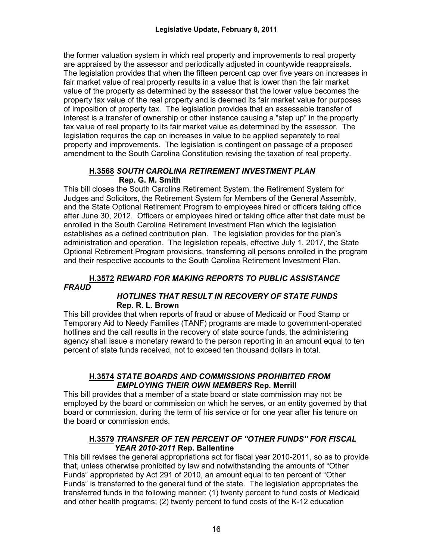the former valuation system in which real property and improvements to real property are appraised by the assessor and periodically adjusted in countywide reappraisals. The legislation provides that when the fifteen percent cap over five years on increases in fair market value of real property results in a value that is lower than the fair market value of the property as determined by the assessor that the lower value becomes the property tax value of the real property and is deemed its fair market value for purposes of imposition of property tax. The legislation provides that an assessable transfer of interest is a transfer of ownership or other instance causing a "step up" in the property tax value of real property to its fair market value as determined by the assessor. The legislation requires the cap on increases in value to be applied separately to real property and improvements. The legislation is contingent on passage of a proposed amendment to the South Carolina Constitution revising the taxation of real property.

### **H.3568** *SOUTH CAROLINA RETIREMENT INVESTMENT PLAN*  **Rep. G. M. Smith**

This bill closes the South Carolina Retirement System, the Retirement System for Judges and Solicitors, the Retirement System for Members of the General Assembly, and the State Optional Retirement Program to employees hired or officers taking office after June 30, 2012. Officers or employees hired or taking office after that date must be enrolled in the South Carolina Retirement Investment Plan which the legislation establishes as a defined contribution plan. The legislation provides for the plan's administration and operation. The legislation repeals, effective July 1, 2017, the State Optional Retirement Program provisions, transferring all persons enrolled in the program and their respective accounts to the South Carolina Retirement Investment Plan.

#### **H.3572** *REWARD FOR MAKING REPORTS TO PUBLIC ASSISTANCE FRAUD*

#### *HOTLINES THAT RESULT IN RECOVERY OF STATE FUNDS* **Rep. R. L. Brown**

This bill provides that when reports of fraud or abuse of Medicaid or Food Stamp or Temporary Aid to Needy Families (TANF) programs are made to government-operated hotlines and the call results in the recovery of state source funds, the administering agency shall issue a monetary reward to the person reporting in an amount equal to ten percent of state funds received, not to exceed ten thousand dollars in total.

#### **H.3574** *STATE BOARDS AND COMMISSIONS PROHIBITED FROM EMPLOYING THEIR OWN MEMBERS* **Rep. Merrill**

This bill provides that a member of a state board or state commission may not be employed by the board or commission on which he serves, or an entity governed by that board or commission, during the term of his service or for one year after his tenure on the board or commission ends.

#### **H.3579** *TRANSFER OF TEN PERCENT OF "OTHER FUNDS" FOR FISCAL YEAR 2010-2011* **Rep. Ballentine**

This bill revises the general appropriations act for fiscal year 2010-2011, so as to provide that, unless otherwise prohibited by law and notwithstanding the amounts of "Other Funds" appropriated by Act 291 of 2010, an amount equal to ten percent of "Other Funds" is transferred to the general fund of the state. The legislation appropriates the transferred funds in the following manner: (1) twenty percent to fund costs of Medicaid and other health programs; (2) twenty percent to fund costs of the K-12 education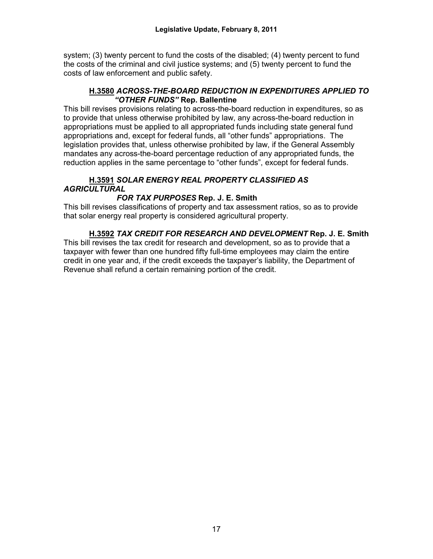system; (3) twenty percent to fund the costs of the disabled; (4) twenty percent to fund the costs of the criminal and civil justice systems; and (5) twenty percent to fund the costs of law enforcement and public safety.

#### **H.3580** *ACROSS-THE-BOARD REDUCTION IN EXPENDITURES APPLIED TO "OTHER FUNDS"* **Rep. Ballentine**

This bill revises provisions relating to across-the-board reduction in expenditures, so as to provide that unless otherwise prohibited by law, any across-the-board reduction in appropriations must be applied to all appropriated funds including state general fund appropriations and, except for federal funds, all "other funds" appropriations. The legislation provides that, unless otherwise prohibited by law, if the General Assembly mandates any across-the-board percentage reduction of any appropriated funds, the reduction applies in the same percentage to "other funds", except for federal funds.

## **H.3591** *SOLAR ENERGY REAL PROPERTY CLASSIFIED AS AGRICULTURAL*

# *FOR TAX PURPOSES* **Rep. J. E. Smith**

This bill revises classifications of property and tax assessment ratios, so as to provide that solar energy real property is considered agricultural property.

**H.3592** *TAX CREDIT FOR RESEARCH AND DEVELOPMENT* **Rep. J. E. Smith** This bill revises the tax credit for research and development, so as to provide that a taxpayer with fewer than one hundred fifty full-time employees may claim the entire credit in one year and, if the credit exceeds the taxpayer's liability, the Department of Revenue shall refund a certain remaining portion of the credit.